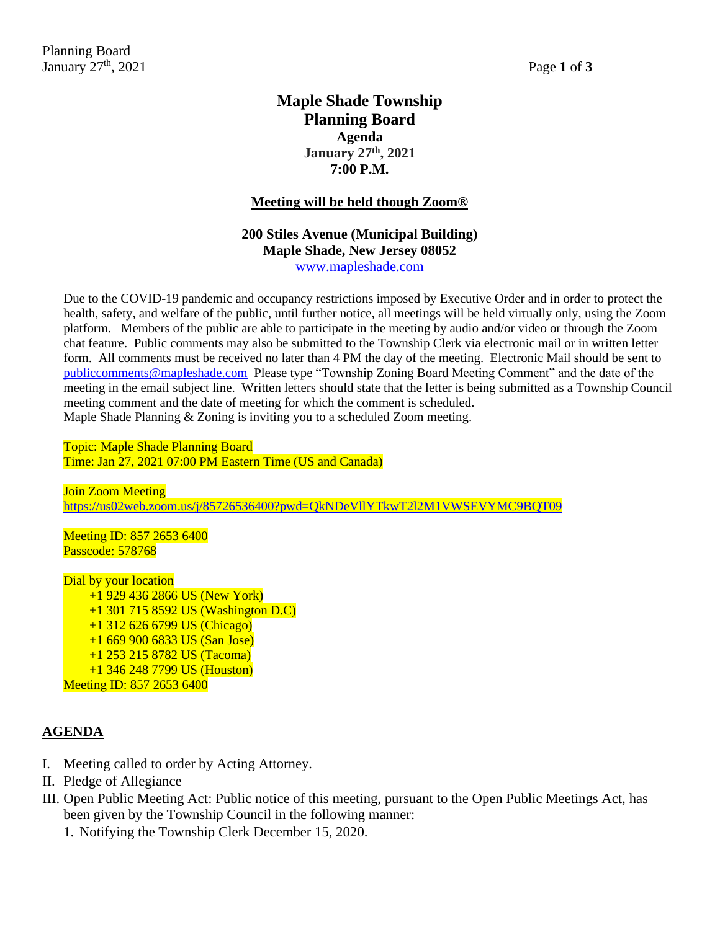## **Maple Shade Township Planning Board Agenda January 27th, 2021 7:00 P.M.**

#### **Meeting will be held though Zoom®**

## **200 Stiles Avenue (Municipal Building) Maple Shade, New Jersey 08052** [www.mapleshade.com](http://www.mapleshade.com/)

Due to the COVID-19 pandemic and occupancy restrictions imposed by Executive Order and in order to protect the health, safety, and welfare of the public, until further notice, all meetings will be held virtually only, using the Zoom platform. Members of the public are able to participate in the meeting by audio and/or video or through the Zoom chat feature. Public comments may also be submitted to the Township Clerk via electronic mail or in written letter form. All comments must be received no later than 4 PM the day of the meeting. Electronic Mail should be sent to [publiccomments@mapleshade.com](mailto:publiccomments@mapleshade.com) Please type "Township Zoning Board Meeting Comment" and the date of the meeting in the email subject line. Written letters should state that the letter is being submitted as a Township Council meeting comment and the date of meeting for which the comment is scheduled. Maple Shade Planning & Zoning is inviting you to a scheduled Zoom meeting.

Topic: Maple Shade Planning Board Time: Jan 27, 2021 07:00 PM Eastern Time (US and Canada)

Join Zoom Meeting <https://us02web.zoom.us/j/85726536400?pwd=QkNDeVllYTkwT2l2M1VWSEVYMC9BQT09>

Meeting ID: 857 2653 6400 Passcode: 578768

Dial by your location +1 929 436 2866 US (New York) +1 301 715 8592 US (Washington D.C) +1 312 626 6799 US (Chicago) +1 669 900 6833 US (San Jose) +1 253 215 8782 US (Tacoma) +1 346 248 7799 US (Houston) Meeting ID: 857 2653 6400

## **AGENDA**

- I. Meeting called to order by Acting Attorney.
- II. Pledge of Allegiance
- III. Open Public Meeting Act: Public notice of this meeting, pursuant to the Open Public Meetings Act, has been given by the Township Council in the following manner:
	- 1. Notifying the Township Clerk December 15, 2020.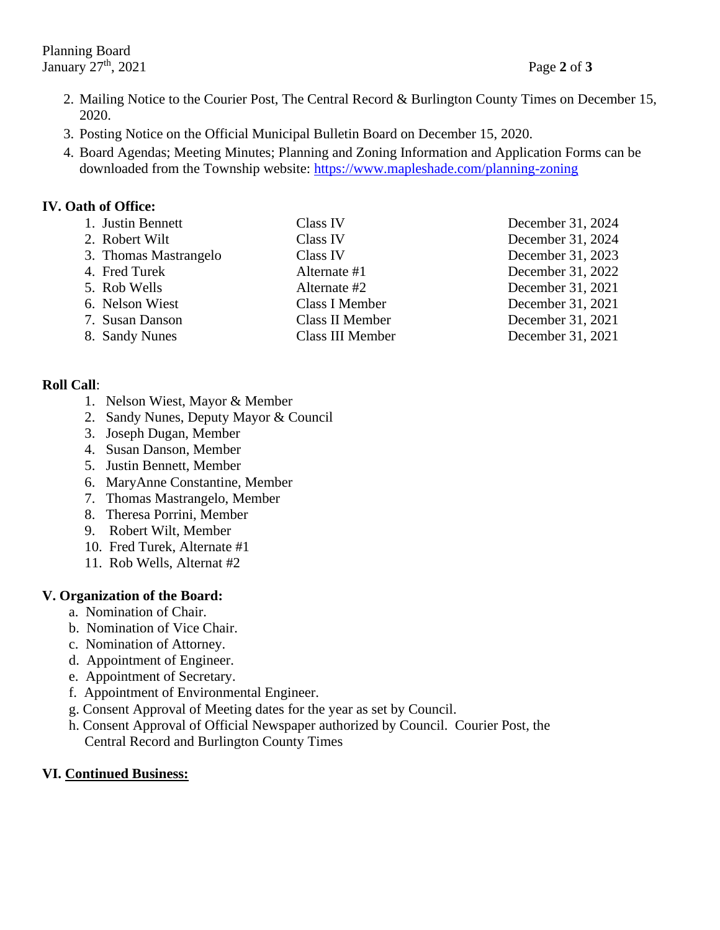- 2. Mailing Notice to the Courier Post, The Central Record & Burlington County Times on December 15, 2020.
- 3. Posting Notice on the Official Municipal Bulletin Board on December 15, 2020.
- 4. Board Agendas; Meeting Minutes; Planning and Zoning Information and Application Forms can be downloaded from the Township website:<https://www.mapleshade.com/planning-zoning>

#### **IV. Oath of Office:**

| 1. Justin Bennett     | Class IV         | December 31, 2024 |
|-----------------------|------------------|-------------------|
| 2. Robert Wilt        | Class IV         | December 31, 2024 |
| 3. Thomas Mastrangelo | Class IV         | December 31, 2023 |
| 4. Fred Turek         | Alternate #1     | December 31, 2022 |
| 5. Rob Wells          | Alternate #2     | December 31, 2021 |
| 6. Nelson Wiest       | Class I Member   | December 31, 2021 |
| 7. Susan Danson       | Class II Member  | December 31, 2021 |
| 8. Sandy Nunes        | Class III Member | December 31, 2021 |

## **Roll Call**:

- 1. Nelson Wiest, Mayor & Member
- 2. Sandy Nunes, Deputy Mayor & Council
- 3. Joseph Dugan, Member
- 4. Susan Danson, Member
- 5. Justin Bennett, Member
- 6. MaryAnne Constantine, Member
- 7. Thomas Mastrangelo, Member
- 8. Theresa Porrini, Member
- 9. Robert Wilt, Member
- 10. Fred Turek, Alternate #1
- 11. Rob Wells, Alternat #2

## **V. Organization of the Board:**

- a. Nomination of Chair.
- b. Nomination of Vice Chair.
- c. Nomination of Attorney.
- d. Appointment of Engineer.
- e. Appointment of Secretary.
- f. Appointment of Environmental Engineer.
- g. Consent Approval of Meeting dates for the year as set by Council.
- h. Consent Approval of Official Newspaper authorized by Council. Courier Post, the Central Record and Burlington County Times

## **VI. Continued Business:**